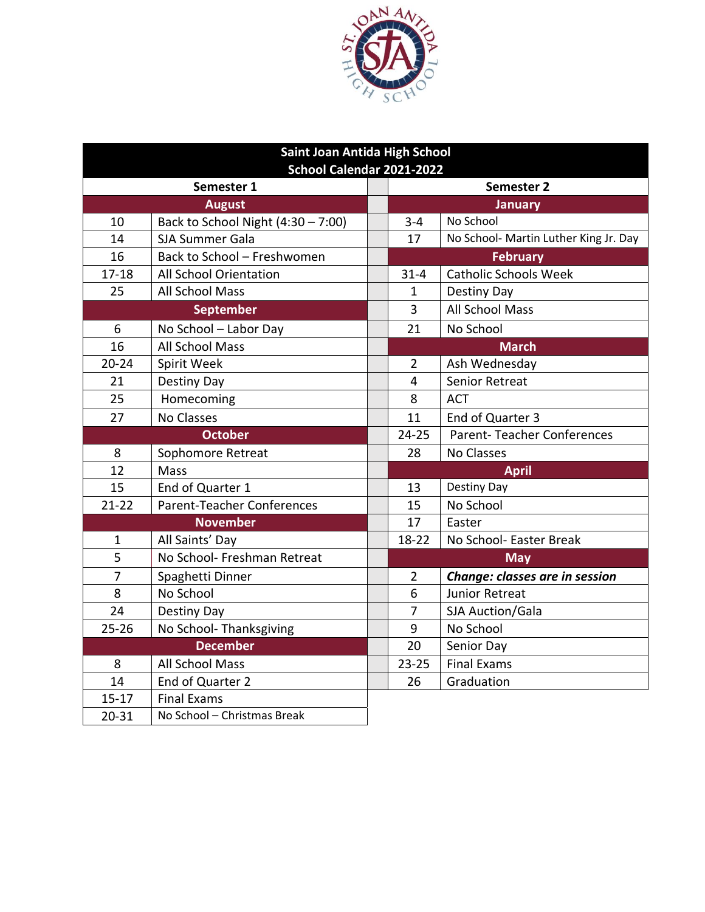

| Saint Joan Antida High School |                                      |  |                |                                       |  |  |  |  |  |  |  |
|-------------------------------|--------------------------------------|--|----------------|---------------------------------------|--|--|--|--|--|--|--|
| School Calendar 2021-2022     |                                      |  |                |                                       |  |  |  |  |  |  |  |
|                               | Semester 1                           |  | Semester 2     |                                       |  |  |  |  |  |  |  |
|                               | <b>August</b>                        |  | <b>January</b> |                                       |  |  |  |  |  |  |  |
| 10                            | Back to School Night $(4:30 - 7:00)$ |  | $3 - 4$        | No School                             |  |  |  |  |  |  |  |
| 14                            | <b>SJA Summer Gala</b>               |  | 17             | No School- Martin Luther King Jr. Day |  |  |  |  |  |  |  |
| 16                            | Back to School - Freshwomen          |  |                | <b>February</b>                       |  |  |  |  |  |  |  |
| $17 - 18$                     | All School Orientation               |  | $31 - 4$       | <b>Catholic Schools Week</b>          |  |  |  |  |  |  |  |
| 25                            | All School Mass                      |  | 1              | Destiny Day                           |  |  |  |  |  |  |  |
|                               | <b>September</b>                     |  | 3              | <b>All School Mass</b>                |  |  |  |  |  |  |  |
| 6                             | No School - Labor Day                |  | 21             | No School                             |  |  |  |  |  |  |  |
| 16                            | All School Mass                      |  |                | <b>March</b>                          |  |  |  |  |  |  |  |
| $20 - 24$                     | Spirit Week                          |  | $\overline{2}$ | Ash Wednesday                         |  |  |  |  |  |  |  |
| 21                            | Destiny Day                          |  | $\overline{4}$ | <b>Senior Retreat</b>                 |  |  |  |  |  |  |  |
| 25                            | Homecoming                           |  | 8              | <b>ACT</b>                            |  |  |  |  |  |  |  |
| 27                            | <b>No Classes</b>                    |  | 11             | End of Quarter 3                      |  |  |  |  |  |  |  |
|                               | <b>October</b>                       |  | $24 - 25$      | <b>Parent-Teacher Conferences</b>     |  |  |  |  |  |  |  |
| 8                             | Sophomore Retreat                    |  | 28             | <b>No Classes</b>                     |  |  |  |  |  |  |  |
| 12                            | Mass                                 |  |                | <b>April</b>                          |  |  |  |  |  |  |  |
| 15                            | End of Quarter 1                     |  | 13             | Destiny Day                           |  |  |  |  |  |  |  |
| $21 - 22$                     | <b>Parent-Teacher Conferences</b>    |  | 15             | No School                             |  |  |  |  |  |  |  |
|                               | <b>November</b>                      |  | 17             | Easter                                |  |  |  |  |  |  |  |
| $\mathbf 1$                   | All Saints' Day                      |  | 18-22          | No School- Easter Break               |  |  |  |  |  |  |  |
| 5                             | No School- Freshman Retreat          |  |                | <b>May</b>                            |  |  |  |  |  |  |  |
| 7                             | Spaghetti Dinner                     |  | $\overline{2}$ | Change: classes are in session        |  |  |  |  |  |  |  |
| 8                             | No School                            |  | 6              | Junior Retreat                        |  |  |  |  |  |  |  |
| 24                            | Destiny Day                          |  | 7              | SJA Auction/Gala                      |  |  |  |  |  |  |  |
| $25 - 26$                     | No School-Thanksgiving               |  | 9              | No School                             |  |  |  |  |  |  |  |
|                               | <b>December</b>                      |  | 20             | Senior Day                            |  |  |  |  |  |  |  |
| 8                             | All School Mass                      |  | $23 - 25$      | <b>Final Exams</b>                    |  |  |  |  |  |  |  |
| 14                            | End of Quarter 2                     |  | 26             | Graduation                            |  |  |  |  |  |  |  |
| $15 - 17$                     | <b>Final Exams</b>                   |  |                |                                       |  |  |  |  |  |  |  |
| $20 - 31$                     | No School - Christmas Break          |  |                |                                       |  |  |  |  |  |  |  |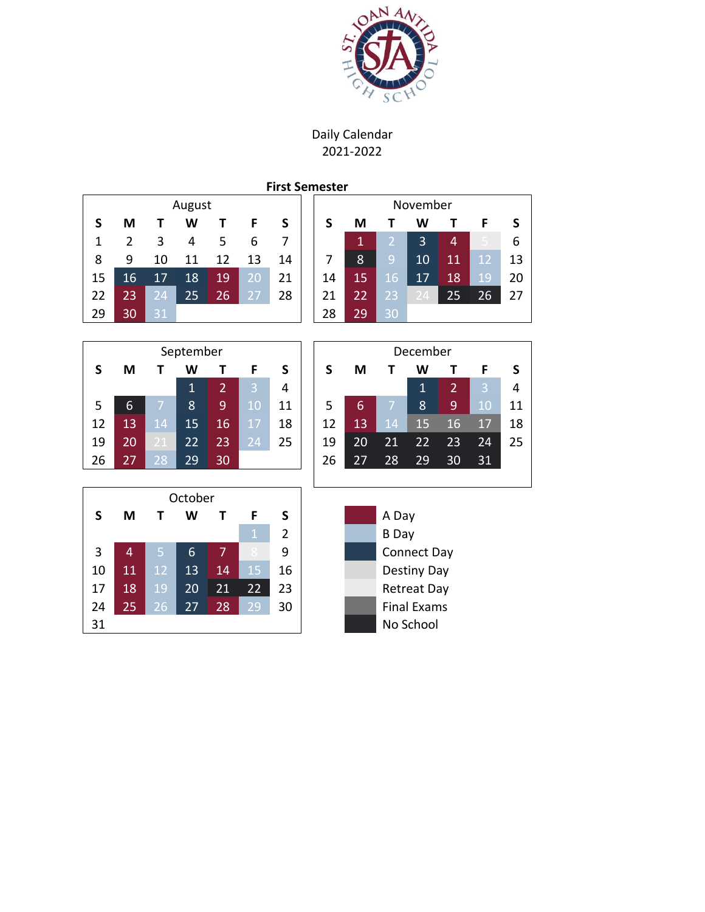

Daily Calendar 2021-2022

**First Semester**

| August    |                |                |              |                |              | November       |                    |              |                |                |                |    |              |  |
|-----------|----------------|----------------|--------------|----------------|--------------|----------------|--------------------|--------------|----------------|----------------|----------------|----|--------------|--|
| S         | M              | Т              | W            | т              | F            | S              | $\mathsf{s}$       | M            | Т              | W              | T              | F  | $\mathsf{s}$ |  |
| 1         | $\overline{2}$ | 3              | 4            | 5              | 6            | 7              |                    | $\mathbf{1}$ | $\overline{2}$ | 3              | $\overline{4}$ | 5  | 6            |  |
| 8         | 9              | 10             | 11           | 12             | 13           | 14             | 7                  | 8            | 9              | 10             | 11             | 12 | 13           |  |
| 15        | 16             | 17             | 18           | 19             | 20           | 21             | 14                 | 15           | 16             | 17             | 18             | 19 | 20           |  |
| 22        | 23             | 24             | 25           | 26             | 27           | 28             | 21                 | 22           | 23             | 24             | 25             | 26 | 27           |  |
| 29        | 30             | 31             |              |                |              |                | 28                 | 29           | 30             |                |                |    |              |  |
|           |                |                |              |                |              |                |                    |              |                |                |                |    |              |  |
| September |                |                |              |                |              |                | December           |              |                |                |                |    |              |  |
| S         | M              | т              | W            | T              | F            | S              | S                  | M            | Т              | W              | T              | F  | S            |  |
|           |                |                | $\mathbf{1}$ | $\overline{2}$ | 3            | 4              |                    |              |                | $\overline{1}$ | $\overline{2}$ | 3  | 4            |  |
| 5         | 6              | $\overline{7}$ | 8            | 9              | 10           | 11             | 5                  | 6            | $\overline{7}$ | 8              | 9              | 10 | 11           |  |
| 12        | 13             | 14             | 15           | 16             | 17           | 18             | 12                 | 13           | 14             | 15             | 16             | 17 | 18           |  |
| 19        | 20             | 21             | 22           | 23             | 24           | 25             | 19                 | 20           | 21             | 22             | 23             | 24 | 25           |  |
| 26        | 27             | 28             | 29           | 30             |              |                | 26                 | 27           | 28             | 29             | 30             | 31 |              |  |
|           |                |                |              |                |              |                |                    |              |                |                |                |    |              |  |
|           |                |                | October      |                |              |                |                    |              |                |                |                |    |              |  |
| S         | M              | Т              | W            | T              | F            | S              | A Day              |              |                |                |                |    |              |  |
|           |                |                |              |                | $\mathbf{1}$ | $\overline{2}$ |                    |              | <b>B</b> Day   |                |                |    |              |  |
| 3         | 4              | 5              | 6            | $\overline{7}$ |              | 9              | Connect Day        |              |                |                |                |    |              |  |
| 10        | 11             | 12             | 13           | 14             | 15           | 16             | Destiny Day        |              |                |                |                |    |              |  |
| 17        | 18             | 19             | 20           | 21             | 22           | 23             | <b>Retreat Day</b> |              |                |                |                |    |              |  |
| 24        | 25             | 26             | 27           | 28             | 29           | 30             | <b>Final Exams</b> |              |                |                |                |    |              |  |
| 31        |                |                |              |                |              |                | No School          |              |                |                |                |    |              |  |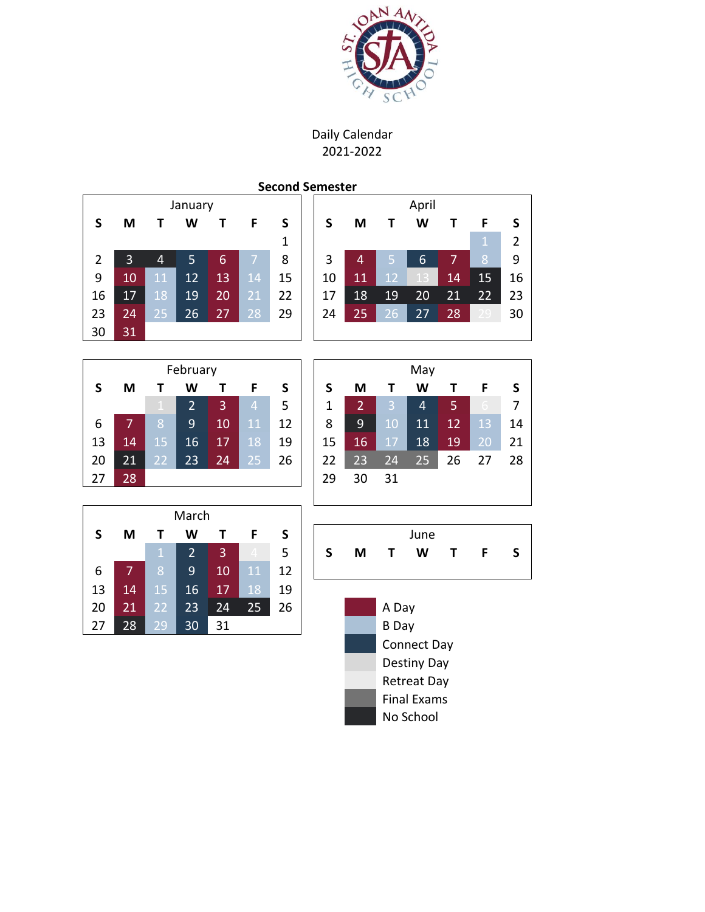

Daily Calendar 2021-2022

## **Second Semester**